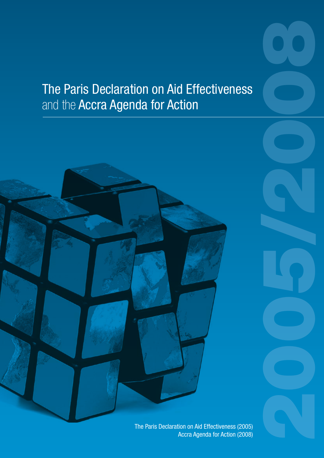# The Paris Declaration on Aid Effectiveness and the Accra Agenda for Action



2009

The Paris Declaration on Aid Effectiveness (2005) Accra Agenda for Action (2008)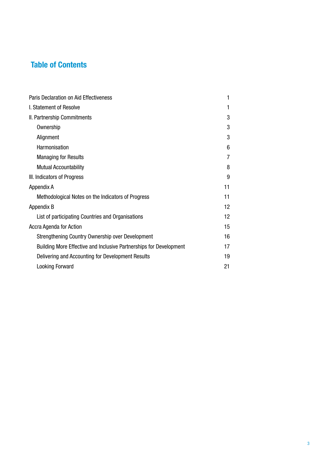## **Table of Contents**

| Paris Declaration on Aid Effectiveness                             |    |  |
|--------------------------------------------------------------------|----|--|
| I. Statement of Resolve                                            |    |  |
| II. Partnership Commitments                                        |    |  |
| Ownership                                                          | 3  |  |
| Alignment                                                          | 3  |  |
| Harmonisation                                                      | 6  |  |
| <b>Managing for Results</b>                                        | 7  |  |
| <b>Mutual Accountability</b>                                       | 8  |  |
| III. Indicators of Progress                                        | 9  |  |
| Appendix A                                                         |    |  |
| Methodological Notes on the Indicators of Progress                 | 11 |  |
| Appendix B                                                         |    |  |
| List of participating Countries and Organisations                  | 12 |  |
| Accra Agenda for Action                                            |    |  |
| Strengthening Country Ownership over Development                   | 16 |  |
| Building More Effective and Inclusive Partnerships for Development | 17 |  |
| Delivering and Accounting for Development Results                  | 19 |  |
| Looking Forward                                                    | 21 |  |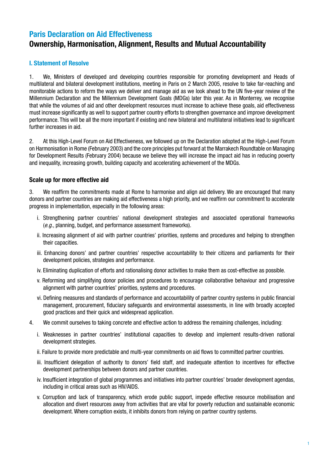## **Paris Declaration on Aid Effectiveness**

## **Ownership, Harmonisation, Alignment, Results and Mutual Accountability**

## **I. Statement of Resolve**

1. We, Ministers of developed and developing countries responsible for promoting development and Heads of multilateral and bilateral development institutions, meeting in Paris on 2 March 2005, resolve to take far-reaching and monitorable actions to reform the ways we deliver and manage aid as we look ahead to the UN five-year review of the Millennium Declaration and the Millennium Development Goals (MDGs) later this year. As in Monterrey, we recognise that while the volumes of aid and other development resources must increase to achieve these goals, aid effectiveness must increase significantly as well to support partner country efforts to strengthen governance and improve development performance. This will be all the more important if existing and new bilateral and multilateral initiatives lead to significant further increases in aid.

2. At this High-Level Forum on Aid Effectiveness, we followed up on the Declaration adopted at the High-Level Forum on Harmonisation in Rome (February 2003) and the core principles put forward at the Marrakech Roundtable on Managing for Development Results (February 2004) because we believe they will increase the impact aid has in reducing poverty and inequality, increasing growth, building capacity and accelerating achievement of the MDGs.

## **Scale up for more effective aid**

3. We reaffirm the commitments made at Rome to harmonise and align aid delivery. We are encouraged that many donors and partner countries are making aid effectiveness a high priority, and we reaffirm our commitment to accelerate progress in implementation, especially in the following areas:

- i. Strengthening partner countries' national development strategies and associated operational frameworks (*e.g.*, planning, budget, and performance assessment frameworks).
- ii. Increasing alignment of aid with partner countries' priorities, systems and procedures and helping to strengthen their capacities.
- iii. Enhancing donors' and partner countries' respective accountability to their citizens and parliaments for their development policies, strategies and performance.
- iv. Eliminating duplication of efforts and rationalising donor activities to make them as cost-effective as possible.
- v. Reforming and simplifying donor policies and procedures to encourage collaborative behaviour and progressive alignment with partner countries' priorities, systems and procedures.
- vi. Defining measures and standards of performance and accountability of partner country systems in public financial management, procurement, fiduciary safeguards and environmental assessments, in line with broadly accepted good practices and their quick and widespread application.
- 4. We commit ourselves to taking concrete and effective action to address the remaining challenges, including:
	- i. Weaknesses in partner countries' institutional capacities to develop and implement results-driven national development strategies.
	- ii. Failure to provide more predictable and multi-year commitments on aid flows to committed partner countries.
	- iii. Insufficient delegation of authority to donors' field staff, and inadequate attention to incentives for effective development partnerships between donors and partner countries.
	- iv. Insufficient integration of global programmes and initiatives into partner countries' broader development agendas, including in critical areas such as HIV/AIDS.
	- v. Corruption and lack of transparency, which erode public support, impede effective resource mobilisation and allocation and divert resources away from activities that are vital for poverty reduction and sustainable economic development. Where corruption exists, it inhibits donors from relying on partner country systems.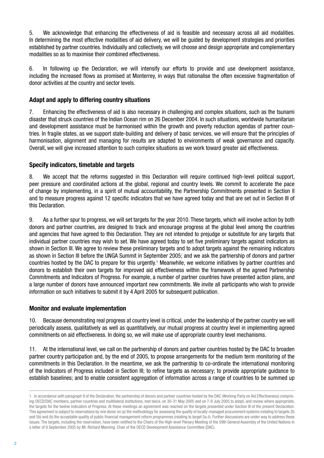5. We acknowledge that enhancing the effectiveness of aid is feasible and necessary across all aid modalities. In determining the most effective modalities of aid delivery, we will be guided by development strategies and priorities established by partner countries. Individually and collectively, we will choose and design appropriate and complementary modalities so as to maximise their combined effectiveness.

6. In following up the Declaration, we will intensify our efforts to provide and use development assistance, including the increased flows as promised at Monterrey, in ways that rationalise the often excessive fragmentation of donor activities at the country and sector levels.

## **Adapt and apply to differing country situations**

7. Enhancing the effectiveness of aid is also necessary in challenging and complex situations, such as the tsunami disaster that struck countries of the Indian Ocean rim on 26 December 2004. In such situations, worldwide humanitarian and development assistance must be harmonised within the growth and poverty reduction agendas of partner countries. In fragile states, as we support state-building and delivery of basic services, we will ensure that the principles of harmonisation, alignment and managing for results are adapted to environments of weak governance and capacity. Overall, we will give increased attention to such complex situations as we work toward greater aid effectiveness.

### **Specify indicators, timetable and targets**

8. We accept that the reforms suggested in this Declaration will require continued high-level political support, peer pressure and coordinated actions at the global, regional and country levels. We commit to accelerate the pace of change by implementing, in a spirit of mutual accountability, the Partnership Commitments presented in Section II and to measure progress against 12 specific indicators that we have agreed today and that are set out in Section III of this Declaration.

9. As a further spur to progress, we will set targets for the year 2010. These targets, which will involve action by both donors and partner countries, are designed to track and encourage progress at the global level among the countries and agencies that have agreed to this Declaration. They are not intended to prejudge or substitute for any targets that individual partner countries may wish to set. We have agreed today to set five preliminary targets against indicators as shown in Section III. We agree to review these preliminary targets and to adopt targets against the remaining indicators as shown in Section III before the UNGA Summit in September 2005; and we ask the partnership of donors and partner countries hosted by the DAC to prepare for this urgently.<sup>1</sup> Meanwhile, we welcome initiatives by partner countries and donors to establish their own targets for improved aid effectiveness within the framework of the agreed Partnership Commitments and Indicators of Progress. For example, a number of partner countries have presented action plans, and a large number of donors have announced important new commitments. We invite all participants who wish to provide information on such initiatives to submit it by 4 April 2005 for subsequent publication.

#### **Monitor and evaluate implementation**

10. Because demonstrating real progress at country level is critical, under the leadership of the partner country we will periodically assess, qualitatively as well as quantitatively, our mutual progress at country level in implementing agreed commitments on aid effectiveness. In doing so, we will make use of appropriate country level mechanisms.

11. At the international level, we call on the partnership of donors and partner countries hosted by the DAC to broaden partner country participation and, by the end of 2005, to propose arrangements for the medium term monitoring of the commitments in this Declaration. In the meantime, we ask the partnership to co-ordinate the international monitoring of the Indicators of Progress included in Section III; to refine targets as necessary; to provide appropriate guidance to establish baselines; and to enable consistent aggregation of information across a range of countries to be summed up

<sup>1.</sup> In accordance with paragraph 9 of the Declaration, the partnership of donors and partner countries hosted by the DAC (Working Party on Aid Effectiveness) comprising OECD/DAC members, partner countries and multilateral institutions, met twice, on 30-31 May 2005 and on 7-8 July 2005 to adopt, and review where appropriate, the targets for the twelve Indicators of Progress. At these meetings an agreement was reached on the targets presented under Section III of the present Declaration. This agreement is subject to reservations by one donor on (a) the methodology for assessing the quality of locally-managed procurement systems (relating to targets 2b and 5b) and (b) the acceptable quality of public financial management reform programmes (relating to target 5a.ii). Further discussions are under way to address these issues. The targets, including the reservation, have been notified to the Chairs of the High-level Plenary Meeting of the 59th General Assembly of the United Nations in a letter of 9 September 2005 by Mr. Richard Manning, Chair of the OECD Development Assistance Committee (DAC).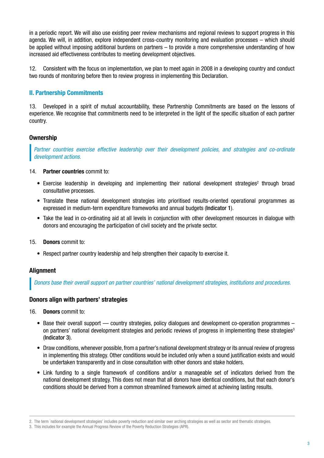in a periodic report. We will also use existing peer review mechanisms and regional reviews to support progress in this agenda. We will, in addition, explore independent cross-country monitoring and evaluation processes – which should be applied without imposing additional burdens on partners – to provide a more comprehensive understanding of how increased aid effectiveness contributes to meeting development objectives.

12. Consistent with the focus on implementation, we plan to meet again in 2008 in a developing country and conduct two rounds of monitoring before then to review progress in implementing this Declaration.

## **II. Partnership Commitments**

13. Developed in a spirit of mutual accountability, these Partnership Commitments are based on the lessons of experience. We recognise that commitments need to be interpreted in the light of the specific situation of each partner country.

## **Ownership**

*Partner countries exercise effective leadership over their development policies, and strategies and co-ordinate development actions.*

#### 14. **Partner countries** commit to:

- Exercise leadership in developing and implementing their national development strategies<sup>2</sup> through broad consultative processes.
- Translate these national development strategies into prioritised results-oriented operational programmes as expressed in medium-term expenditure frameworks and annual budgets (Indicator 1).
- Take the lead in co-ordinating aid at all levels in conjunction with other development resources in dialogue with donors and encouraging the participation of civil society and the private sector.
- 15. **Donors** commit to:
	- Respect partner country leadership and help strengthen their capacity to exercise it.

#### **Alignment**

*Donors base their overall support on partner countries' national development strategies, institutions and procedures.*

#### **Donors align with partners' strategies**

16. **Donors** commit to:

- Base their overall support country strategies, policy dialogues and development co-operation programmes on partners' national development strategies and periodic reviews of progress in implementing these strategies<sup>3</sup> (Indicator 3).
- Draw conditions, whenever possible, from a partner's national development strategy or its annual review of progress in implementing this strategy. Other conditions would be included only when a sound justification exists and would be undertaken transparently and in close consultation with other donors and stake holders.
- Link funding to a single framework of conditions and/or a manageable set of indicators derived from the national development strategy. This does not mean that all donors have identical conditions, but that each donor's conditions should be derived from a common streamlined framework aimed at achieving lasting results.

<sup>2.</sup> The term `national development strategies' includes poverty reduction and similar over arching strategies as well as sector and thematic strategies.

<sup>3.</sup> This includes for example the Annual Progress Review of the Poverty Reduction Strategies (APR).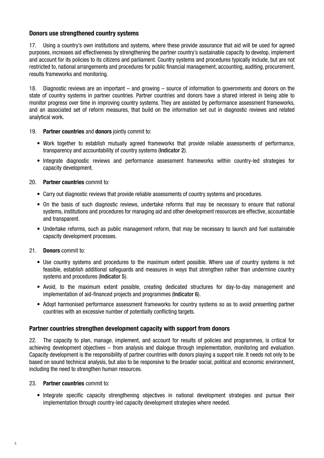#### **Donors use strengthened country systems**

17. Using a country's own institutions and systems, where these provide assurance that aid will be used for agreed purposes, increases aid effectiveness by strengthening the partner country's sustainable capacity to develop, implement and account for its policies to its citizens and parliament. Country systems and procedures typically include, but are not restricted to, national arrangements and procedures for public financial management, accounting, auditing, procurement, results frameworks and monitoring.

18. Diagnostic reviews are an important – and growing – source of information to governments and donors on the state of country systems in partner countries. Partner countries and donors have a shared interest in being able to monitor progress over time in improving country systems. They are assisted by performance assessment frameworks, and an associated set of reform measures, that build on the information set out in diagnostic reviews and related analytical work.

#### 19. **Partner countries** and **donors** jointly commit to:

- Work together to establish mutually agreed frameworks that provide reliable assessments of performance, transparency and accountability of country systems (Indicator 2).
- Integrate diagnostic reviews and performance assessment frameworks within country-led strategies for capacity development.

#### 20. **Partner countries** commit to:

- Carry out diagnostic reviews that provide reliable assessments of country systems and procedures.
- On the basis of such diagnostic reviews, undertake reforms that may be necessary to ensure that national systems, institutions and procedures for managing aid and other development resources are effective, accountable and transparent.
- Undertake reforms, such as public management reform, that may be necessary to launch and fuel sustainable capacity development processes.
- 21. **Donors** commit to:
	- Use country systems and procedures to the maximum extent possible. Where use of country systems is not feasible, establish additional safeguards and measures in ways that strengthen rather than undermine country systems and procedures (Indicator 5).
	- Avoid, to the maximum extent possible, creating dedicated structures for day-to-day management and implementation of aid-financed projects and programmes (Indicator 6).
	- Adopt harmonised performance assessment frameworks for country systems so as to avoid presenting partner countries with an excessive number of potentially conflicting targets.

#### **Partner countries strengthen development capacity with support from donors**

22. The capacity to plan, manage, implement, and account for results of policies and programmes, is critical for achieving development objectives – from analysis and dialogue through implementation, monitoring and evaluation. Capacity development is the responsibility of partner countries with donors playing a support role. It needs not only to be based on sound technical analysis, but also to be responsive to the broader social, political and economic environment, including the need to strengthen human resources.

#### 23. **Partner countries** commit to:

• Integrate specific capacity strengthening objectives in national development strategies and pursue their implementation through country-led capacity development strategies where needed.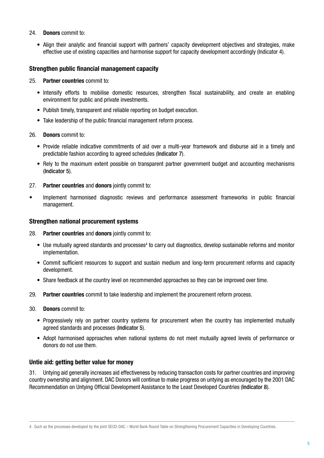- 24. **Donors** commit to:
	- Align their analytic and financial support with partners' capacity development objectives and strategies, make effective use of existing capacities and harmonise support for capacity development accordingly (Indicator 4).

#### **Strengthen public financial management capacity**

- 25. **Partner countries** commit to:
	- Intensify efforts to mobilise domestic resources, strengthen fiscal sustainability, and create an enabling environment for public and private investments.
	- Publish timely, transparent and reliable reporting on budget execution.
	- Take leadership of the public financial management reform process.
- 26. **Donors** commit to:
	- Provide reliable indicative commitments of aid over a multi-year framework and disburse aid in a timely and predictable fashion according to agreed schedules (Indicator 7).
	- Rely to the maximum extent possible on transparent partner government budget and accounting mechanisms (Indicator 5).
- 27. **Partner countries** and **donors** jointly commit to:
- Implement harmonised diagnostic reviews and performance assessment frameworks in public financial management.

#### **Strengthen national procurement systems**

- 28. **Partner countries** and **donors** jointly commit to:
	- Use mutually agreed standards and processes<sup>4</sup> to carry out diagnostics, develop sustainable reforms and monitor implementation.
	- Commit sufficient resources to support and sustain medium and long-term procurement reforms and capacity development.
	- Share feedback at the country level on recommended approaches so they can be improved over time.
- 29. **Partner countries** commit to take leadership and implement the procurement reform process.
- 30. **Donors** commit to:
	- Progressively rely on partner country systems for procurement when the country has implemented mutually agreed standards and processes (Indicator 5).
	- Adopt harmonised approaches when national systems do not meet mutually agreed levels of performance or donors do not use them.

#### **Untie aid: getting better value for money**

31. Untying aid generally increases aid effectiveness by reducing transaction costs for partner countries and improving country ownership and alignment. DAC Donors will continue to make progress on untying as encouraged by the 2001 DAC Recommendation on Untying Official Development Assistance to the Least Developed Countries (Indicator 8).

<sup>4.</sup> Such as the processes developed by the joint OECD-DAC – World Bank Round Table on Strengthening Procurement Capacities in Developing Countries.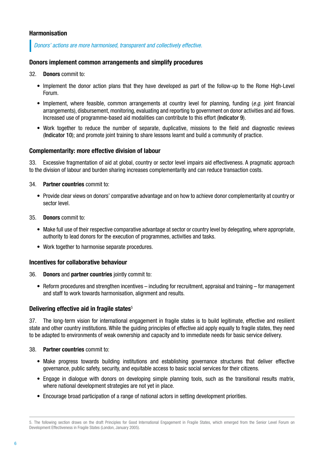### **Harmonisation**

*Donors' actions are more harmonised, transparent and collectively effective.*

#### **Donors implement common arrangements and simplify procedures**

- 32. **Donors** commit to:
	- Implement the donor action plans that they have developed as part of the follow-up to the Rome High-Level Forum.
	- Implement, where feasible, common arrangements at country level for planning, funding (*e.g.* joint financial arrangements), disbursement, monitoring, evaluating and reporting to government on donor activities and aid flows. Increased use of programme-based aid modalities can contribute to this effort (Indicator 9).
	- Work together to reduce the number of separate, duplicative, missions to the field and diagnostic reviews (Indicator 10); and promote joint training to share lessons learnt and build a community of practice.

#### **Complementarity: more effective division of labour**

33. Excessive fragmentation of aid at global, country or sector level impairs aid effectiveness. A pragmatic approach to the division of labour and burden sharing increases complementarity and can reduce transaction costs.

- 34. **Partner countries** commit to:
	- Provide clear views on donors' comparative advantage and on how to achieve donor complementarity at country or sector level.
- 35. **Donors** commit to:
	- Make full use of their respective comparative advantage at sector or country level by delegating, where appropriate, authority to lead donors for the execution of programmes, activities and tasks.
	- Work together to harmonise separate procedures.

#### **Incentives for collaborative behaviour**

- 36. **Donors** and **partner countries** jointly commit to:
	- Reform procedures and strengthen incentives including for recruitment, appraisal and training for management and staff to work towards harmonisation, alignment and results.

#### **Delivering effective aid in fragile states**<sup>5</sup>

37. The long-term vision for international engagement in fragile states is to build legitimate, effective and resilient state and other country institutions. While the guiding principles of effective aid apply equally to fragile states, they need to be adapted to environments of weak ownership and capacity and to immediate needs for basic service delivery.

#### 38. **Partner countries** commit to:

- Make progress towards building institutions and establishing governance structures that deliver effective governance, public safety, security, and equitable access to basic social services for their citizens.
- Engage in dialogue with donors on developing simple planning tools, such as the transitional results matrix, where national development strategies are not yet in place.
- Encourage broad participation of a range of national actors in setting development priorities.

<sup>5.</sup> The following section draws on the draft Principles for Good International Engagement in Fragile States, which emerged from the Senior Level Forum on Development Effectiveness in Fragile States (London, January 2005).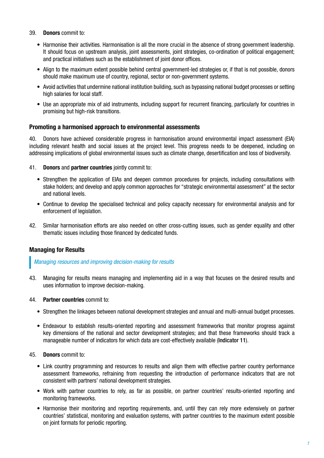#### 39. **Donors** commit to:

- Harmonise their activities. Harmonisation is all the more crucial in the absence of strong government leadership. It should focus on upstream analysis, joint assessments, joint strategies, co-ordination of political engagement; and practical initiatives such as the establishment of joint donor offices.
- Align to the maximum extent possible behind central government-led strategies or, if that is not possible, donors should make maximum use of country, regional, sector or non-government systems.
- Avoid activities that undermine national institution building, such as bypassing national budget processes or setting high salaries for local staff.
- Use an appropriate mix of aid instruments, including support for recurrent financing, particularly for countries in promising but high-risk transitions.

#### **Promoting a harmonised approach to environmental assessments**

40. Donors have achieved considerable progress in harmonisation around environmental impact assessment (EIA) including relevant health and social issues at the project level. This progress needs to be deepened, including on addressing implications of global environmental issues such as climate change, desertification and loss of biodiversity.

- 41. **Donors** and **partner countries** jointly commit to:
	- Strengthen the application of EIAs and deepen common procedures for projects, including consultations with stake holders; and develop and apply common approaches for "strategic environmental assessment" at the sector and national levels.
	- Continue to develop the specialised technical and policy capacity necessary for environmental analysis and for enforcement of legislation.
- 42. Similar harmonisation efforts are also needed on other cross-cutting issues, such as gender equality and other thematic issues including those financed by dedicated funds.

## **Managing for Results**

#### *Managing resources and improving decision-making for results*

43. Managing for results means managing and implementing aid in a way that focuses on the desired results and uses information to improve decision-making.

#### 44. **Partner countries** commit to:

- Strengthen the linkages between national development strategies and annual and multi-annual budget processes.
- Endeavour to establish results-oriented reporting and assessment frameworks that monitor progress against key dimensions of the national and sector development strategies; and that these frameworks should track a manageable number of indicators for which data are cost-effectively available (Indicator 11).

#### 45. **Donors** commit to:

- Link country programming and resources to results and align them with effective partner country performance assessment frameworks, refraining from requesting the introduction of performance indicators that are not consistent with partners' national development strategies.
- Work with partner countries to rely, as far as possible, on partner countries' results-oriented reporting and monitoring frameworks.
- Harmonise their monitoring and reporting requirements, and, until they can rely more extensively on partner countries' statistical, monitoring and evaluation systems, with partner countries to the maximum extent possible on joint formats for periodic reporting.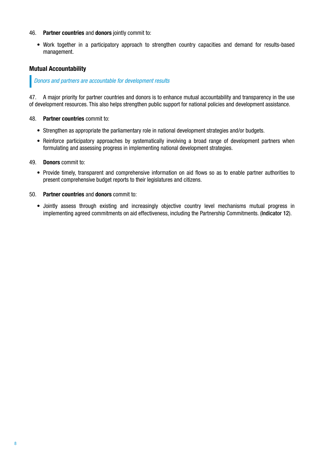#### 46. **Partner countries** and **donors** jointly commit to:

• Work together in a participatory approach to strengthen country capacities and demand for results-based management.

### **Mutual Accountability**

#### *Donors and partners are accountable for development results*

47. A major priority for partner countries and donors is to enhance mutual accountability and transparency in the use of development resources. This also helps strengthen public support for national policies and development assistance.

#### 48. **Partner countries** commit to:

- Strengthen as appropriate the parliamentary role in national development strategies and/or budgets.
- Reinforce participatory approaches by systematically involving a broad range of development partners when formulating and assessing progress in implementing national development strategies.

#### 49. **Donors** commit to:

• Provide timely, transparent and comprehensive information on aid flows so as to enable partner authorities to present comprehensive budget reports to their legislatures and citizens.

#### 50. **Partner countries** and **donors** commit to:

• Jointly assess through existing and increasingly objective country level mechanisms mutual progress in implementing agreed commitments on aid effectiveness, including the Partnership Commitments. (Indicator 12).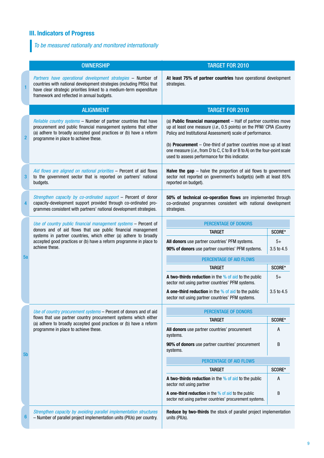## **III. Indicators of Progress**

*To be measured nationally and monitored internationally*

|                | <b>OWNERSHIP</b>                                                                                                                                                                                                                                          | <b>TARGET FOR 2010</b>                                                                                                                                                                                                                                                                                                                                                                                              |              |
|----------------|-----------------------------------------------------------------------------------------------------------------------------------------------------------------------------------------------------------------------------------------------------------|---------------------------------------------------------------------------------------------------------------------------------------------------------------------------------------------------------------------------------------------------------------------------------------------------------------------------------------------------------------------------------------------------------------------|--------------|
| $\mathbf{1}$   | Partners have operational development strategies - Number of<br>countries with national development strategies (including PRSs) that<br>have clear strategic priorities linked to a medium-term expenditure<br>framework and reflected in annual budgets. | At least 75% of partner countries have operational development<br>strategies.                                                                                                                                                                                                                                                                                                                                       |              |
|                | <b>ALIGNMENT</b>                                                                                                                                                                                                                                          | <b>TARGET FOR 2010</b>                                                                                                                                                                                                                                                                                                                                                                                              |              |
| $\overline{2}$ | Reliable country systems - Number of partner countries that have<br>procurement and public financial management systems that either<br>(a) adhere to broadly accepted good practices or (b) have a reform<br>programme in place to achieve these.         | (a) Public financial management - Half of partner countries move<br>up at least one measure (i.e., 0.5 points) on the PFM/ CPIA (Country<br>Policy and Institutional Assessment) scale of performance.<br>(b) <b>Procurement</b> $-$ One-third of partner countries move up at least<br>one measure (i.e., from D to C, C to B or B to A) on the four-point scale<br>used to assess performance for this indicator. |              |
| 3              | Aid flows are aligned on national priorities - Percent of aid flows<br>to the government sector that is reported on partners' national<br>budgets.                                                                                                        | <b>Halve the gap</b> $-$ halve the proportion of aid flows to government<br>sector not reported on government's budget(s) (with at least 85%<br>reported on budget).                                                                                                                                                                                                                                                |              |
| 4              | Strengthen capacity by co-ordinated support - Percent of donor<br>capacity-development support provided through co-ordinated pro-<br>grammes consistent with partners' national development strategies.                                                   | 50% of technical co-operation flows are implemented through<br>co-ordinated programmes consistent with national development<br>strategies.                                                                                                                                                                                                                                                                          |              |
|                | Use of country public financial management systems - Percent of                                                                                                                                                                                           | PERCENTAGE OF DONORS                                                                                                                                                                                                                                                                                                                                                                                                |              |
|                | donors and of aid flows that use public financial management<br>systems in partner countries, which either (a) adhere to broadly                                                                                                                          | <b>TARGET</b>                                                                                                                                                                                                                                                                                                                                                                                                       | SCORE*       |
|                | accepted good practices or (b) have a reform programme in place to<br>achieve these.                                                                                                                                                                      | All donors use partner countries' PFM systems.                                                                                                                                                                                                                                                                                                                                                                      | $5+$         |
|                |                                                                                                                                                                                                                                                           | 90% of donors use partner countries' PFM systems.                                                                                                                                                                                                                                                                                                                                                                   | 3.5 to $4.5$ |
| 5a             |                                                                                                                                                                                                                                                           | PERCENTAGE OF AID FLOWS                                                                                                                                                                                                                                                                                                                                                                                             |              |
|                |                                                                                                                                                                                                                                                           | <b>TARGET</b>                                                                                                                                                                                                                                                                                                                                                                                                       | SCORE*       |
|                |                                                                                                                                                                                                                                                           | A two-thirds reduction in the % of aid to the public<br>sector not using partner countries' PFM systems.                                                                                                                                                                                                                                                                                                            | $5+$         |
|                |                                                                                                                                                                                                                                                           | A one-third reduction in the $\%$ of aid to the public<br>sector not using partner countries' PFM systems.                                                                                                                                                                                                                                                                                                          | 3.5 to 4.5   |
|                | Use of country procurement systems - Percent of donors and of aid                                                                                                                                                                                         | PERCENTAGE OF DONORS                                                                                                                                                                                                                                                                                                                                                                                                |              |
|                | flows that use partner country procurement systems which either<br>(a) adhere to broadly accepted good practices or (b) have a reform<br>programme in place to achieve these.                                                                             | <b>TARGET</b>                                                                                                                                                                                                                                                                                                                                                                                                       | SCORE*       |
| 5 <sub>b</sub> |                                                                                                                                                                                                                                                           | All donors use partner countries' procurement<br>systems.                                                                                                                                                                                                                                                                                                                                                           | A            |
|                |                                                                                                                                                                                                                                                           | 90% of donors use partner countries' procurement<br>systems.                                                                                                                                                                                                                                                                                                                                                        | B            |
|                |                                                                                                                                                                                                                                                           | PERCENTAGE OF AID FLOWS                                                                                                                                                                                                                                                                                                                                                                                             |              |
|                |                                                                                                                                                                                                                                                           | <b>TARGET</b>                                                                                                                                                                                                                                                                                                                                                                                                       | SCORE*       |
|                |                                                                                                                                                                                                                                                           | A two-thirds reduction in the % of aid to the public<br>sector not using partner                                                                                                                                                                                                                                                                                                                                    | A            |
|                |                                                                                                                                                                                                                                                           | A one-third reduction in the % of aid to the public<br>sector not using partner countries' procurement systems.                                                                                                                                                                                                                                                                                                     | B            |
| 6              | Strengthen capacity by avoiding parallel implementation structures<br>- Number of parallel project implementation units (PIUs) per country.                                                                                                               | Reduce by two-thirds the stock of parallel project implementation<br>units (PIUs).                                                                                                                                                                                                                                                                                                                                  |              |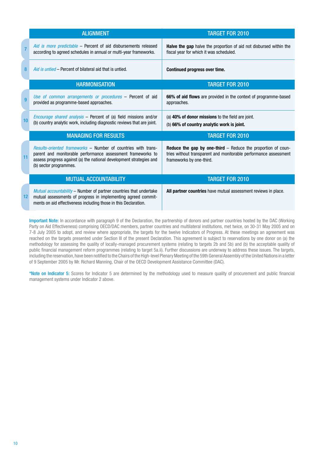|                | <b>ALIGNMENT</b>                                                                                                                                                                                                              | <b>TARGET FOR 2010</b>                                                                                                                                                |
|----------------|-------------------------------------------------------------------------------------------------------------------------------------------------------------------------------------------------------------------------------|-----------------------------------------------------------------------------------------------------------------------------------------------------------------------|
| $\overline{7}$ | Aid is more predictable – Percent of aid disbursements released<br>according to agreed schedules in annual or multi-year frameworks.                                                                                          | <b>Halve the gap</b> halve the proportion of aid not disbursed within the<br>fiscal year for which it was scheduled.                                                  |
| 8              | Aid is untied – Percent of bilateral aid that is untied.                                                                                                                                                                      | Continued progress over time.                                                                                                                                         |
|                | <b>HARMONISATION</b>                                                                                                                                                                                                          | <b>TARGET FOR 2010</b>                                                                                                                                                |
| 9              | Use of common arrangements or procedures - Percent of aid<br>provided as programme-based approaches.                                                                                                                          | 66% of aid flows are provided in the context of programme-based<br>approaches.                                                                                        |
| 10             | <i>Encourage shared analysis</i> – Percent of (a) field missions and/or<br>(b) country analytic work, including diagnostic reviews that are joint.                                                                            | (a) 40% of donor missions to the field are joint.<br>(b) 66% of country analytic work is joint.                                                                       |
|                | <b>MANAGING FOR RESULTS</b>                                                                                                                                                                                                   | <b>TARGET FOR 2010</b>                                                                                                                                                |
| 11             | Results-oriented frameworks – Number of countries with trans-<br>parent and monitorable performance assessment frameworks to<br>assess progress against (a) the national development strategies and<br>(b) sector programmes. | <b>Reduce the gap by one-third</b> $-$ Reduce the proportion of coun-<br>tries without transparent and monitorable performance assessment<br>frameworks by one-third. |
|                | <b>MUTUAL ACCOUNTABILITY</b>                                                                                                                                                                                                  | <b>TARGET FOR 2010</b>                                                                                                                                                |
| 12             | Mutual accountability – Number of partner countries that undertake<br>mutual assessments of progress in implementing agreed commit-<br>ments on aid effectiveness including those in this Declaration.                        | All partner countries have mutual assessment reviews in place.                                                                                                        |

Important Note: In accordance with paragraph 9 of the Declaration, the partnership of donors and partner countries hosted by the DAC (Working Party on Aid Effectiveness) comprising OECD/DAC members, partner countries and multilateral institutions, met twice, on 30-31 May 2005 and on 7-8 July 2005 to adopt, and review where appropriate, the targets for the twelve Indicators of Progress. At these meetings an agreement was reached on the targets presented under Section III of the present Declaration. This agreement is subject to reservations by one donor on (a) the methodology for assessing the quality of locally-managed procurement systems (relating to targets 2b and 5b) and (b) the acceptable quality of public financial management reform programmes (relating to target 5a.ii). Further discussions are underway to address these issues. The targets, including the reservation, have been notified to the Chairs of the High-level Plenary Meeting of the 59th General Assembly of the United Nations in a letter of 9 September 2005 by Mr. Richard Manning, Chair of the OECD Development Assistance Committee (DAC).

\*Note on Indicator 5: Scores for Indicator 5 are determined by the methodology used to measure quality of procurement and public financial management systems under Indicator 2 above.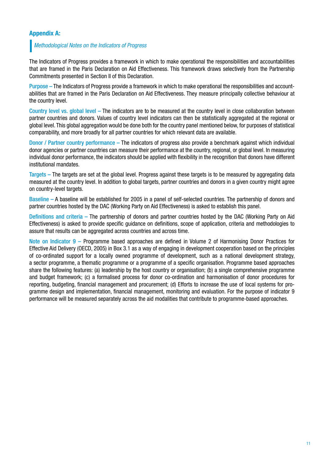## **Appendix A:**

#### *Methodological Notes on the Indicators of Progress*

The Indicators of Progress provides a framework in which to make operational the responsibilities and accountabilities that are framed in the Paris Declaration on Aid Effectiveness. This framework draws selectively from the Partnership Commitments presented in Section II of this Declaration.

Purpose – The Indicators of Progress provide a framework in which to make operational the responsibilities and accountabilities that are framed in the Paris Declaration on Aid Effectiveness. They measure principally collective behaviour at the country level.

Country level vs. global level – The indicators are to be measured at the country level in close collaboration between partner countries and donors. Values of country level indicators can then be statistically aggregated at the regional or global level. This global aggregation would be done both for the country panel mentioned below, for purposes of statistical comparability, and more broadly for all partner countries for which relevant data are available.

Donor / Partner country performance – The indicators of progress also provide a benchmark against which individual donor agencies or partner countries can measure their performance at the country, regional, or global level. In measuring individual donor performance, the indicators should be applied with flexibility in the recognition that donors have different institutional mandates.

Targets – The targets are set at the global level. Progress against these targets is to be measured by aggregating data measured at the country level. In addition to global targets, partner countries and donors in a given country might agree on country-level targets.

Baseline – A baseline will be established for 2005 in a panel of self-selected countries. The partnership of donors and partner countries hosted by the DAC (Working Party on Aid Effectiveness) is asked to establish this panel.

Definitions and criteria – The partnership of donors and partner countries hosted by the DAC (Working Party on Aid Effectiveness) is asked to provide specific guidance on definitions, scope of application, criteria and methodologies to assure that results can be aggregated across countries and across time.

Note on Indicator 9 – Programme based approaches are defined in Volume 2 of Harmonising Donor Practices for Effective Aid Delivery (OECD, 2005) in Box 3.1 as a way of engaging in development cooperation based on the principles of co-ordinated support for a locally owned programme of development, such as a national development strategy, a sector programme, a thematic programme or a programme of a specific organisation. Programme based approaches share the following features: (a) leadership by the host country or organisation; (b) a single comprehensive programme and budget framework; (c) a formalised process for donor co-ordination and harmonisation of donor procedures for reporting, budgeting, financial management and procurement; (d) Efforts to increase the use of local systems for programme design and implementation, financial management, monitoring and evaluation. For the purpose of indicator 9 performance will be measured separately across the aid modalities that contribute to programme-based approaches.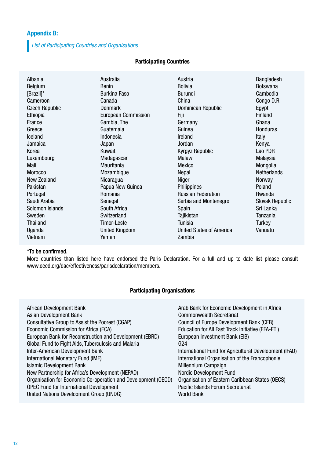## **Appendix B:**

*List of Participating Countries and Organisations*

| Albania               | Australia                  | Austria                         | Bangladesh      |
|-----------------------|----------------------------|---------------------------------|-----------------|
| Belgium               | <b>Benin</b>               | <b>Bolivia</b>                  | <b>Botswana</b> |
| [Brazil]*             | <b>Burkina Faso</b>        | <b>Burundi</b>                  | Cambodia        |
| Cameroon              | Canada                     | China                           | Congo D.R.      |
| <b>Czech Republic</b> | <b>Denmark</b>             | Dominican Republic              | Egypt           |
| Ethiopia              | <b>European Commission</b> | Fiji                            | Finland         |
| France                | Gambia, The                | Germany                         | Ghana           |
| Greece                | Guatemala                  | Guinea                          | Honduras        |
| Iceland               | Indonesia                  | Ireland                         | Italy           |
| Jamaica               | Japan                      | Jordan                          | Kenya           |
| Korea                 | Kuwait                     | Kyrgyz Republic                 | Lao PDR         |
| Luxembourg            | Madagascar                 | Malawi                          | Malaysia        |
| Mali                  | Mauritania                 | <b>Mexico</b>                   | Mongolia        |
| <b>Morocco</b>        | Mozambique                 | Nepal                           | Netherlands     |
| New Zealand           | Nicaragua                  | Niger                           | Norway          |
| Pakistan              | Papua New Guinea           | Philippines                     | Poland          |
| Portugal              | Romania                    | <b>Russian Federation</b>       | Rwanda          |
| Saudi Arabia          | Senegal                    | Serbia and Montenegro           | Slovak Republic |
| Solomon Islands       | South Africa               | Spain                           | Sri Lanka       |
| Sweden                | Switzerland                | Tajikistan                      | Tanzania        |
| <b>Thailand</b>       | <b>Timor-Leste</b>         | Tunisia                         | <b>Turkey</b>   |
| Uganda                | <b>United Kingdom</b>      | <b>United States of America</b> | Vanuatu         |
| Vietnam               | Yemen                      | Zambia                          |                 |

#### **Participating Countries**

### \*To be confirmed.

More countries than listed here have endorsed the Paris Declaration. For a full and up to date list please consult www.oecd.org/dac/effectiveness/parisdeclaration/members.

## **Participating Organisations**

| African Development Bank                                      | Arab Bank for Economic Development in Africa           |
|---------------------------------------------------------------|--------------------------------------------------------|
| Asian Development Bank                                        | <b>Commonwealth Secretariat</b>                        |
| Consultative Group to Assist the Poorest (CGAP)               | Council of Europe Development Bank (CEB)               |
| Economic Commission for Africa (ECA)                          | Education for All Fast Track Initiative (EFA-FTI)      |
| European Bank for Reconstruction and Development (EBRD)       | European Investment Bank (EIB)                         |
| Global Fund to Fight Aids, Tuberculosis and Malaria           | G <sub>24</sub>                                        |
| Inter-American Development Bank                               | International Fund for Agricultural Development (IFAD) |
| International Monetary Fund (IMF)                             | International Organisation of the Francophonie         |
| <b>Islamic Development Bank</b>                               | Millennium Campaign                                    |
| New Partnership for Africa's Development (NEPAD)              | Nordic Development Fund                                |
| Organisation for Economic Co-operation and Development (OECD) | Organisation of Eastern Caribbean States (OECS)        |
| <b>OPEC Fund for International Development</b>                | Pacific Islands Forum Secretariat                      |
| United Nations Development Group (UNDG)                       | <b>World Bank</b>                                      |
|                                                               |                                                        |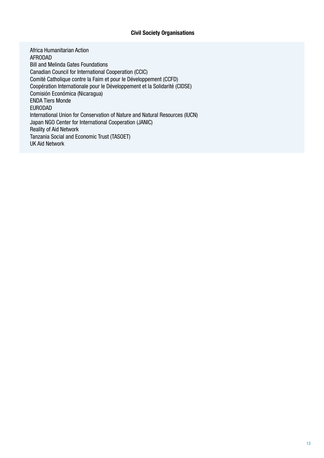## **Civil Society Organisations**

Africa Humanitarian Action AFRODAD Bill and Melinda Gates Foundations Canadian Council for International Cooperation (CCIC) Comité Catholique contre la Faim et pour le Développement (CCFD) Coopération Internationale pour le Développement et la Solidarité (CIDSE) Comisión Económica (Nicaragua) ENDA Tiers Monde EURODAD International Union for Conservation of Nature and Natural Resources (IUCN) Japan NGO Center for International Cooperation (JANIC) Reality of Aid Network Tanzania Social and Economic Trust (TASOET) UK Aid Network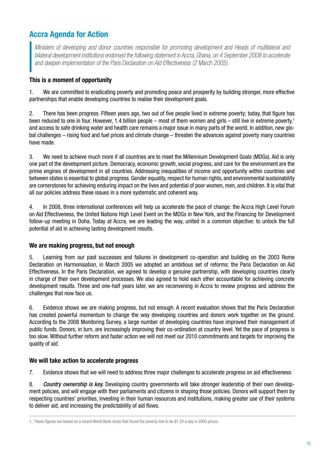## **Accra Agenda for Action**

*Ministers of developing and donor countries responsible for promoting development and Heads of multilateral and bilateral development institutions endorsed the following statement in Accra, Ghana, on 4 September 2008 to accelerate and deepen implementation of the Paris Declaration on Aid Effectiveness (2 March 2005).*

## **This is a moment of opportunity**

1. We are committed to eradicating poverty and promoting peace and prosperity by building stronger, more effective partnerships that enable developing countries to realise their development goals.

2. There has been progress. Fifteen years ago, two out of five people lived in extreme poverty; today, that figure has been reduced to one in four. However, 1.4 billion people – most of them women and girls – still live in extreme poverty,1 and access to safe drinking water and health care remains a major issue in many parts of the world. In addition, new global challenges – rising food and fuel prices and climate change – threaten the advances against poverty many countries have made.

3. We need to achieve much more if all countries are to meet the Millennium Development Goals (MDGs). Aid is only one part of the development picture. Democracy, economic growth, social progress, and care for the environment are the prime engines of development in all countries. Addressing inequalities of income and opportunity within countries and between states is essential to global progress. Gender equality, respect for human rights, and environmental sustainability are cornerstones for achieving enduring impact on the lives and potential of poor women, men, and children. It is vital that all our policies address these issues in a more systematic and coherent way.

4. In 2008, three international conferences will help us accelerate the pace of change: the Accra High Level Forum on Aid Effectiveness, the United Nations High Level Event on the MDGs in New York, and the Financing for Development follow-up meeting in Doha. Today at Accra, we are leading the way, united in a common objective: to unlock the full potential of aid in achieving lasting development results.

## **We are making progress, but not enough**

5. Learning from our past successes and failures in development co-operation and building on the 2003 Rome Declaration on Harmonisation, in March 2005 we adopted an ambitious set of reforms: the Paris Declaration on Aid Effectiveness. In the Paris Declaration, we agreed to develop a genuine partnership, with developing countries clearly in charge of their own development processes. We also agreed to hold each other accountable for achieving concrete development results. Three and one-half years later, we are reconvening in Accra to review progress and address the challenges that now face us.

6. Evidence shows we are making progress, but not enough. A recent evaluation shows that the Paris Declaration has created powerful momentum to change the way developing countries and donors work together on the ground. According to the 2008 Monitoring Survey, a large number of developing countries have improved their management of public funds. Donors, in turn, are increasingly improving their co-ordination at country level. Yet the pace of progress is too slow. Without further reform and faster action we will not meet our 2010 commitments and targets for improving the quality of aid.

## **We will take action to accelerate progress**

7. Evidence shows that we will need to address three major challenges to accelerate progress on aid effectiveness:

8. *Country ownership is key.* Developing country governments will take stronger leadership of their own development policies, and will engage with their parliaments and citizens in shaping those policies. Donors will support them by respecting countries' priorities, investing in their human resources and institutions, making greater use of their systems to deliver aid, and increasing the predictability of aid flows.

<sup>1.</sup> These figures are based on a recent World Bank study that found the poverty line to be \$1.25 a day in 2005 prices.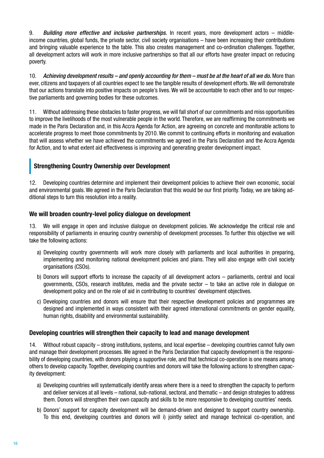9. *Building more effective and inclusive partnerships.* In recent years, more development actors – middleincome countries, global funds, the private sector, civil society organisations – have been increasing their contributions and bringing valuable experience to the table. This also creates management and co-ordination challenges. Together, all development actors will work in more inclusive partnerships so that all our efforts have greater impact on reducing poverty.

10. *Achieving development results – and openly accounting for them – must be at the heart of all we do.* More than ever, citizens and taxpayers of all countries expect to see the tangible results of development efforts. We will demonstrate that our actions translate into positive impacts on people's lives. We will be accountable to each other and to our respective parliaments and governing bodies for these outcomes.

11. Without addressing these obstacles to faster progress, we will fall short of our commitments and miss opportunities to improve the livelihoods of the most vulnerable people in the world. Therefore, we are reaffirming the commitments we made in the Paris Declaration and, in this Accra Agenda for Action, are agreeing on concrete and monitorable actions to accelerate progress to meet those commitments by 2010. We commit to continuing efforts in monitoring and evaluation that will assess whether we have achieved the commitments we agreed in the Paris Declaration and the Accra Agenda for Action, and to what extent aid effectiveness is improving and generating greater development impact.

## **Strengthening Country Ownership over Development**

12. Developing countries determine and implement their development policies to achieve their own economic, social and environmental goals. We agreed in the Paris Declaration that this would be our first priority. Today, we are taking additional steps to turn this resolution into a reality.

## **We will broaden country-level policy dialogue on development**

13. We will engage in open and inclusive dialogue on development policies. We acknowledge the critical role and responsibility of parliaments in ensuring country ownership of development processes. To further this objective we will take the following actions:

- a) Developing country governments will work more closely with parliaments and local authorities in preparing, implementing and monitoring national development policies and plans. They will also engage with civil society organisations (CSOs).
- b) Donors will support efforts to increase the capacity of all development actors parliaments, central and local governments, CSOs, research institutes, media and the private sector – to take an active role in dialogue on development policy and on the role of aid in contributing to countries' development objectives.
- c) Developing countries and donors will ensure that their respective development policies and programmes are designed and implemented in ways consistent with their agreed international commitments on gender equality, human rights, disability and environmental sustainability.

## **Developing countries will strengthen their capacity to lead and manage development**

14. Without robust capacity – strong institutions, systems, and local expertise – developing countries cannot fully own and manage their development processes. We agreed in the Paris Declaration that capacity development is the responsibility of developing countries, with donors playing a supportive role, and that technical co-operation is one means among others to develop capacity. Together, developing countries and donors will take the following actions to strengthen capacity development:

- a) Developing countries will systematically identify areas where there is a need to strengthen the capacity to perform and deliver services at all levels – national, sub-national, sectoral, and thematic – and design strategies to address them. Donors will strengthen their own capacity and skills to be more responsive to developing countries' needs.
- b) Donors' support for capacity development will be demand-driven and designed to support country ownership. To this end, developing countries and donors will i) jointly select and manage technical co-operation, and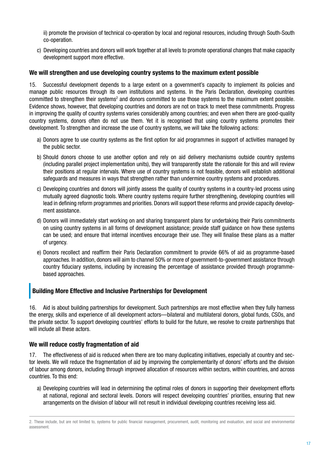ii) promote the provision of technical co-operation by local and regional resources, including through South-South co-operation.

c) Developing countries and donors will work together at all levels to promote operational changes that make capacity development support more effective.

### **We will strengthen and use developing country systems to the maximum extent possible**

15. Successful development depends to a large extent on a government's capacity to implement its policies and manage public resources through its own institutions and systems. In the Paris Declaration, developing countries committed to strengthen their systems<sup>2</sup> and donors committed to use those systems to the maximum extent possible. Evidence shows, however, that developing countries and donors are not on track to meet these commitments. Progress in improving the quality of country systems varies considerably among countries; and even when there are good-quality country systems, donors often do not use them. Yet it is recognised that using country systems promotes their development. To strengthen and increase the use of country systems, we will take the following actions:

- a) Donors agree to use country systems as the first option for aid programmes in support of activities managed by the public sector.
- b) Should donors choose to use another option and rely on aid delivery mechanisms outside country systems (including parallel project implementation units), they will transparently state the rationale for this and will review their positions at regular intervals. Where use of country systems is not feasible, donors will establish additional safeguards and measures in ways that strengthen rather than undermine country systems and procedures.
- c) Developing countries and donors will jointly assess the quality of country systems in a country-led process using mutually agreed diagnostic tools. Where country systems require further strengthening, developing countries will lead in defining reform programmes and priorities. Donors will support these reforms and provide capacity development assistance.
- d) Donors will immediately start working on and sharing transparent plans for undertaking their Paris commitments on using country systems in all forms of development assistance; provide staff guidance on how these systems can be used; and ensure that internal incentives encourage their use. They will finalise these plans as a matter of urgency.
- e) Donors recollect and reaffirm their Paris Declaration commitment to provide 66% of aid as programme-based approaches. In addition, donors will aim to channel 50% or more of government-to-government assistance through country fiduciary systems, including by increasing the percentage of assistance provided through programmebased approaches.

## **Building More Effective and Inclusive Partnerships for Development**

16. Aid is about building partnerships for development. Such partnerships are most effective when they fully harness the energy, skills and experience of all development actors—bilateral and multilateral donors, global funds, CSOs, and the private sector. To support developing countries' efforts to build for the future, we resolve to create partnerships that will include all these actors.

#### **We will reduce costly fragmentation of aid**

17. The effectiveness of aid is reduced when there are too many duplicating initiatives, especially at country and sector levels. We will reduce the fragmentation of aid by improving the complementarity of donors' efforts and the division of labour among donors, including through improved allocation of resources within sectors, within countries, and across countries. To this end:

a) Developing countries will lead in determining the optimal roles of donors in supporting their development efforts at national, regional and sectoral levels. Donors will respect developing countries' priorities, ensuring that new arrangements on the division of labour will not result in individual developing countries receiving less aid.

<sup>2.</sup> These include, but are not limited to, systems for public financial management, procurement, audit, monitoring and evaluation, and social and environmental assessment.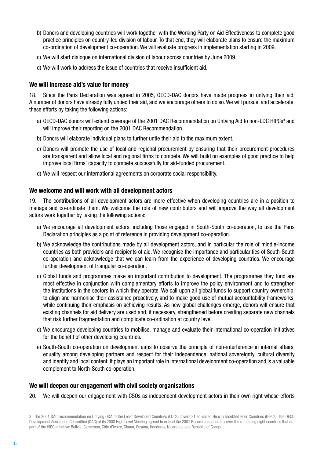- b) Donors and developing countries will work together with the Working Party on Aid Effectiveness to complete good practice principles on country-led division of labour. To that end, they will elaborate plans to ensure the maximum co-ordination of development co-operation. We will evaluate progress in implementation starting in 2009.
- c) We will start dialogue on international division of labour across countries by June 2009.
- d) We will work to address the issue of countries that receive insufficient aid.

#### **We will increase aid's value for money**

18. Since the Paris Declaration was agreed in 2005, OECD-DAC donors have made progress in untying their aid. A number of donors have already fully untied their aid, and we encourage others to do so. We will pursue, and accelerate, these efforts by taking the following actions:

- a) OECD-DAC donors will extend coverage of the 2001 DAC Recommendation on Untying Aid to non-LDC HIPCs<sup>3</sup> and will improve their reporting on the 2001 DAC Recommendation.
- b) Donors will elaborate individual plans to further untie their aid to the maximum extent.
- c) Donors will promote the use of local and regional procurement by ensuring that their procurement procedures are transparent and allow local and regional firms to compete. We will build on examples of good practice to help improve local firms' capacity to compete successfully for aid-funded procurement.
- d) We will respect our international agreements on corporate social responsibility.

#### **We welcome and will work with all development actors**

19. The contributions of all development actors are more effective when developing countries are in a position to manage and co-ordinate them. We welcome the role of new contributors and will improve the way all development actors work together by taking the following actions:

- a) We encourage all development actors, including those engaged in South-South co-operation, to use the Paris Declaration principles as a point of reference in providing development co-operation.
- b) We acknowledge the contributions made by all development actors, and in particular the role of middle-income countries as both providers and recipients of aid. We recognise the importance and particularities of South-South co-operation and acknowledge that we can learn from the experience of developing countries. We encourage further development of triangular co-operation.
- c) Global funds and programmes make an important contribution to development. The programmes they fund are most effective in conjunction with complementary efforts to improve the policy environment and to strengthen the institutions in the sectors in which they operate. We call upon all global funds to support country ownership, to align and harmonise their assistance proactively, and to make good use of mutual accountability frameworks, while continuing their emphasis on achieving results. As new global challenges emerge, donors will ensure that existing channels for aid delivery are used and, if necessary, strengthened before creating separate new channels that risk further fragmentation and complicate co-ordination at country level.
- d) We encourage developing countries to mobilise, manage and evaluate their international co-operation initiatives for the benefit of other developing countries.
- e) South-South co-operation on development aims to observe the principle of non-interference in internal affairs, equality among developing partners and respect for their independence, national sovereignty, cultural diversity and identity and local content. It plays an important role in international development co-operation and is a valuable complement to North-South co-operation.

#### **We will deepen our engagement with civil society organisations**

20. We will deepen our engagement with CSOs as independent development actors in their own right whose efforts

<sup>3.</sup> The 2001 DAC recommendation on Untying ODA to the Least Developed Countries (LDCs) covers 31 so-called Heavily Indebted Poor Countries (HIPCs). The OECD Development Assistance Committee (DAC) at its 2008 High Level Meeting agreed to extend the 2001 Recommendation to cover the remaining eight countries that are part of the HIPC initiative: Bolivia, Cameroon, Côte d'Ivoire, Ghana, Guyana, Honduras, Nicaragua and Republic of Congo.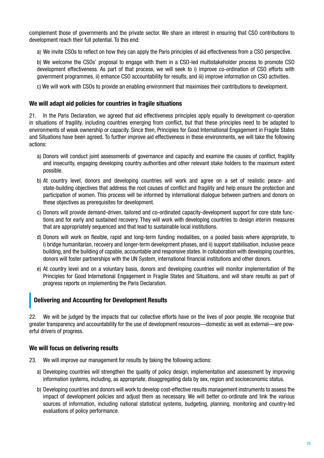complement those of governments and the private sector. We share an interest in ensuring that CSO contributions to development reach their full potential. To this end:

a) We invite CSOs to reflect on how they can apply the Paris principles of aid effectiveness from a CSO perspective.

b) We welcome the CSOs' proposal to engage with them in a CSO-led multistakeholder process to promote CSO development effectiveness. As part of that process, we will seek to i) improve co-ordination of CSO efforts with government programmes, ii) enhance CSO accountability for results, and iii) improve information on CSO activities.

c) We will work with CSOs to provide an enabling environment that maximises their contributions to development.

#### **We will adapt aid policies for countries in fragile situations**

21. In the Paris Declaration, we agreed that aid effectiveness principles apply equally to development co-operation in situations of fragility, including countries emerging from conflict, but that these principles need to be adapted to environments of weak ownership or capacity. Since then, Principles for Good International Engagement in Fragile States and Situations have been agreed. To further improve aid effectiveness in these environments, we will take the following actions:

- a) Donors will conduct joint assessments of governance and capacity and examine the causes of conflict, fragility and insecurity, engaging developing country authorities and other relevant stake holders to the maximum extent possible.
- b) At country level, donors and developing countries will work and agree on a set of realistic peace- and state-building objectives that address the root causes of conflict and fragility and help ensure the protection and participation of women. This process will be informed by international dialogue between partners and donors on these objectives as prerequisites for development.
- c) Donors will provide demand-driven, tailored and co-ordinated capacity-development support for core state functions and for early and sustained recovery. They will work with developing countries to design interim measures that are appropriately sequenced and that lead to sustainable local institutions.
- d) Donors will work on flexible, rapid and long-term funding modalities, on a pooled basis where appropriate, to i) bridge humanitarian, recovery and longer-term development phases, and ii) support stabilisation, inclusive peace building, and the building of capable, accountable and responsive states. In collaboration with developing countries, donors will foster partnerships with the UN System, international financial institutions and other donors.
- e) At country level and on a voluntary basis, donors and developing countries will monitor implementation of the Principles for Good International Engagement in Fragile States and Situations, and will share results as part of progress reports on implementing the Paris Declaration.

## **Delivering and Accounting for Development Results**

22. We will be judged by the impacts that our collective efforts have on the lives of poor people. We recognise that greater transparency and accountability for the use of development resources—domestic as well as external—are powerful drivers of progress.

#### **We will focus on delivering results**

- 23. We will improve our management for results by taking the following actions:
	- a) Developing countries will strengthen the quality of policy design, implementation and assessment by improving information systems, including, as appropriate, disaggregating data by sex, region and socioeconomic status.
	- b) Developing countries and donors will work to develop cost-effective results management instruments to assess the impact of development policies and adjust them as necessary. We will better co-ordinate and link the various sources of information, including national statistical systems, budgeting, planning, monitoring and country-led evaluations of policy performance.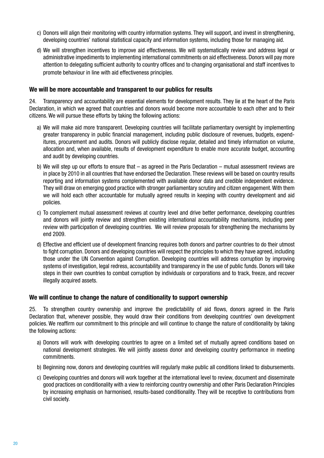- c) Donors will align their monitoring with country information systems. They will support, and invest in strengthening, developing countries' national statistical capacity and information systems, including those for managing aid.
- d) We will strengthen incentives to improve aid effectiveness. We will systematically review and address legal or administrative impediments to implementing international commitments on aid effectiveness. Donors will pay more attention to delegating sufficient authority to country offices and to changing organisational and staff incentives to promote behaviour in line with aid effectiveness principles.

#### **We will be more accountable and transparent to our publics for results**

24. Transparency and accountability are essential elements for development results. They lie at the heart of the Paris Declaration, in which we agreed that countries and donors would become more accountable to each other and to their citizens. We will pursue these efforts by taking the following actions:

- a) We will make aid more transparent. Developing countries will facilitate parliamentary oversight by implementing greater transparency in public financial management, including public disclosure of revenues, budgets, expenditures, procurement and audits. Donors will publicly disclose regular, detailed and timely information on volume, allocation and, when available, results of development expenditure to enable more accurate budget, accounting and audit by developing countries.
- b) We will step up our efforts to ensure that as agreed in the Paris Declaration mutual assessment reviews are in place by 2010 in all countries that have endorsed the Declaration. These reviews will be based on country results reporting and information systems complemented with available donor data and credible independent evidence. They will draw on emerging good practice with stronger parliamentary scrutiny and citizen engagement. With them we will hold each other accountable for mutually agreed results in keeping with country development and aid policies.
- c) To complement mutual assessment reviews at country level and drive better performance, developing countries and donors will jointly review and strengthen existing international accountability mechanisms, including peer review with participation of developing countries. We will review proposals for strengthening the mechanisms by end 2009.
- d) Effective and efficient use of development financing requires both donors and partner countries to do their utmost to fight corruption. Donors and developing countries will respect the principles to which they have agreed, including those under the UN Convention against Corruption. Developing countries will address corruption by improving systems of investigation, legal redress, accountability and transparency in the use of public funds. Donors will take steps in their own countries to combat corruption by individuals or corporations and to track, freeze, and recover illegally acquired assets.

#### **We will continue to change the nature of conditionality to support ownership**

25. To strengthen country ownership and improve the predictability of aid flows, donors agreed in the Paris Declaration that, whenever possible, they would draw their conditions from developing countries' own development policies. We reaffirm our commitment to this principle and will continue to change the nature of conditionality by taking the following actions:

- a) Donors will work with developing countries to agree on a limited set of mutually agreed conditions based on national development strategies. We will jointly assess donor and developing country performance in meeting commitments.
- b) Beginning now, donors and developing countries will regularly make public all conditions linked to disbursements.
- c) Developing countries and donors will work together at the international level to review, document and disseminate good practices on conditionality with a view to reinforcing country ownership and other Paris Declaration Principles by increasing emphasis on harmonised, results-based conditionality. They will be receptive to contributions from civil society.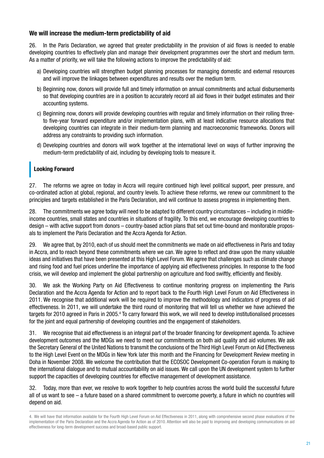## **We will increase the medium-term predictability of aid**

26. In the Paris Declaration, we agreed that greater predictability in the provision of aid flows is needed to enable developing countries to effectively plan and manage their development programmes over the short and medium term. As a matter of priority, we will take the following actions to improve the predictability of aid:

- a) Developing countries will strengthen budget planning processes for managing domestic and external resources and will improve the linkages between expenditures and results over the medium term.
- b) Beginning now, donors will provide full and timely information on annual commitments and actual disbursements so that developing countries are in a position to accurately record all aid flows in their budget estimates and their accounting systems.
- c) Beginning now, donors will provide developing countries with regular and timely information on their rolling threeto five-year forward expenditure and/or implementation plans, with at least indicative resource allocations that developing countries can integrate in their medium-term planning and macroeconomic frameworks. Donors will address any constraints to providing such information.
- d) Developing countries and donors will work together at the international level on ways of further improving the medium-term predictability of aid, including by developing tools to measure it.

## **Looking Forward**

27. The reforms we agree on today in Accra will require continued high level political support, peer pressure, and co-ordinated action at global, regional, and country levels. To achieve these reforms, we renew our commitment to the principles and targets established in the Paris Declaration, and will continue to assess progress in implementing them.

28. The commitments we agree today will need to be adapted to different country circumstances – including in middleincome countries, small states and countries in situations of fragility. To this end, we encourage developing countries to design – with active support from donors – country-based action plans that set out time-bound and monitorable proposals to implement the Paris Declaration and the Accra Agenda for Action.

29. We agree that, by 2010, each of us should meet the commitments we made on aid effectiveness in Paris and today in Accra, and to reach beyond these commitments where we can. We agree to reflect and draw upon the many valuable ideas and initiatives that have been presented at this High Level Forum. We agree that challenges such as climate change and rising food and fuel prices underline the importance of applying aid effectiveness principles. In response to the food crisis, we will develop and implement the global partnership on agriculture and food swiftly, efficiently and flexibly.

30. We ask the Working Party on Aid Effectiveness to continue monitoring progress on implementing the Paris Declaration and the Accra Agenda for Action and to report back to the Fourth High Level Forum on Aid Effectiveness in 2011. We recognise that additional work will be required to improve the methodology and indicators of progress of aid effectiveness. In 2011, we will undertake the third round of monitoring that will tell us whether we have achieved the targets for 2010 agreed in Paris in 2005.<sup>4</sup> To carry forward this work, we will need to develop institutionalised processes for the joint and equal partnership of developing countries and the engagement of stakeholders.

31. We recognise that aid effectiveness is an integral part of the broader financing for development agenda. To achieve development outcomes and the MDGs we need to meet our commitments on both aid quality and aid volumes. We ask the Secretary General of the United Nations to transmit the conclusions of the Third High Level Forum on Aid Effectiveness to the High Level Event on the MDGs in New York later this month and the Financing for Development Review meeting in Doha in November 2008. We welcome the contribution that the ECOSOC Development Co-operation Forum is making to the international dialogue and to mutual accountability on aid issues. We call upon the UN development system to further support the capacities of developing countries for effective management of development assistance.

32. Today, more than ever, we resolve to work together to help countries across the world build the successful future all of us want to see – a future based on a shared commitment to overcome poverty, a future in which no countries will depend on aid.

<sup>4.</sup> We will have that information available for the Fourth High Level Forum on Aid Effectiveness in 2011, along with comprehensive second phase evaluations of the implementation of the Paris Declaration and the Accra Agenda for Action as of 2010. Attention will also be paid to improving and developing communications on aid effectiveness for long-term development success and broad-based public support.